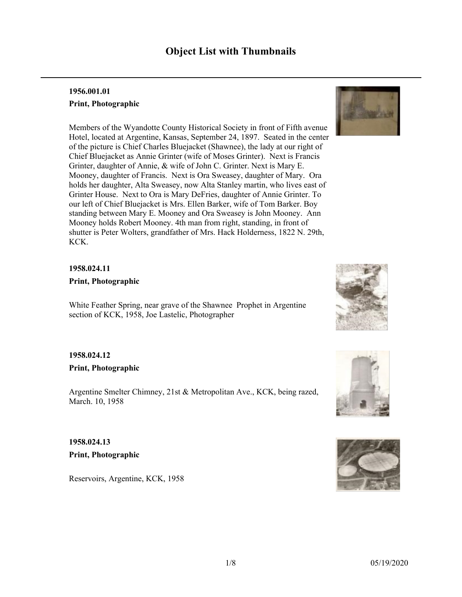# **Object List with Thumbnails**

### **1956.001.01 Print, Photographic**

Members of the Wyandotte County Historical Society in front of Fifth avenue Hotel, located at Argentine, Kansas, September 24, 1897. Seated in the center of the picture is Chief Charles Bluejacket (Shawnee), the lady at our right of Chief Bluejacket as Annie Grinter (wife of Moses Grinter). Next is Francis Grinter, daughter of Annie, & wife of John C. Grinter. Next is Mary E. Mooney, daughter of Francis. Next is Ora Sweasey, daughter of Mary. Ora holds her daughter, Alta Sweasey, now Alta Stanley martin, who lives east of Grinter House. Next to Ora is Mary DeFries, daughter of Annie Grinter. To our left of Chief Bluejacket is Mrs. Ellen Barker, wife of Tom Barker. Boy standing between Mary E. Mooney and Ora Sweasey is John Mooney. Ann Mooney holds Robert Mooney. 4th man from right, standing, in front of shutter is Peter Wolters, grandfather of Mrs. Hack Holderness, 1822 N. 29th, KCK.

#### **1958.024.11**

**Print, Photographic**

White Feather Spring, near grave of the Shawnee Prophet in Argentine section of KCK, 1958, Joe Lastelic, Photographer

#### **1958.024.12 Print, Photographic**

Argentine Smelter Chimney, 21st & Metropolitan Ave., KCK, being razed, March. 10, 1958

**1958.024.13 Print, Photographic**

Reservoirs, Argentine, KCK, 1958







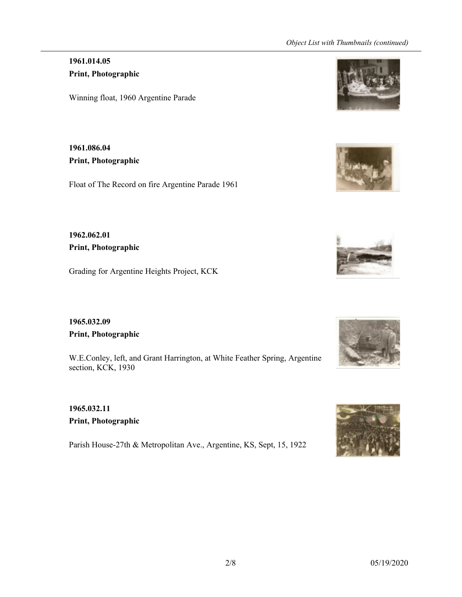#### *Object List with Thumbnails (continued)*

### **1961.014.05 Print, Photographic**

Winning float, 1960 Argentine Parade

**1961.086.04 Print, Photographic**

Float of The Record on fire Argentine Parade 1961

**1962.062.01 Print, Photographic**

Grading for Argentine Heights Project, KCK

**1965.032.09 Print, Photographic**

W.E.Conley, left, and Grant Harrington, at White Feather Spring, Argentine section, KCK, 1930

**1965.032.11 Print, Photographic**

Parish House-27th & Metropolitan Ave., Argentine, KS, Sept, 15, 1922









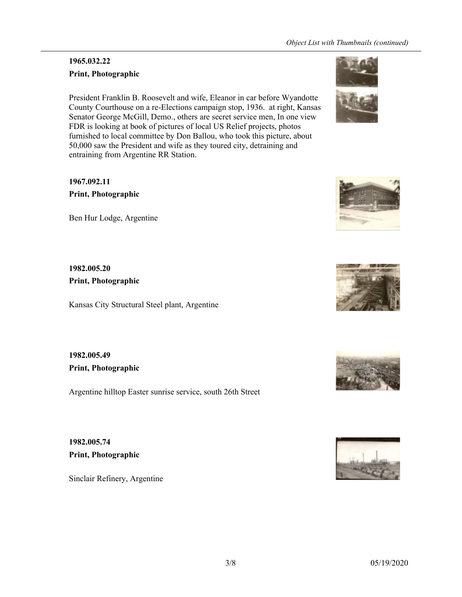## **1965.032.22 Print, Photographic**

President Franklin B. Roosevelt and wife, Eleanor in car before Wyandotte County Courthouse on a re-Elections campaign stop, 1936. at right, Kansas Senator George McGill, Demo., others are secret service men, In one view FDR is looking at book of pictures of local US Relief projects, photos furnished to local committee by Don Ballou, who took this picture, about 50,000 saw the President and wife as they toured city, detraining and entraining from Argentine RR Station.

**1967.092.11 Print, Photographic**

Ben Hur Lodge, Argentine

**1982.005.20 Print, Photographic**

Kansas City Structural Steel plant, Argentine

**1982.005.49 Print, Photographic**

Argentine hilltop Easter sunrise service, south 26th Street

**1982.005.74 Print, Photographic**

Sinclair Refinery, Argentine







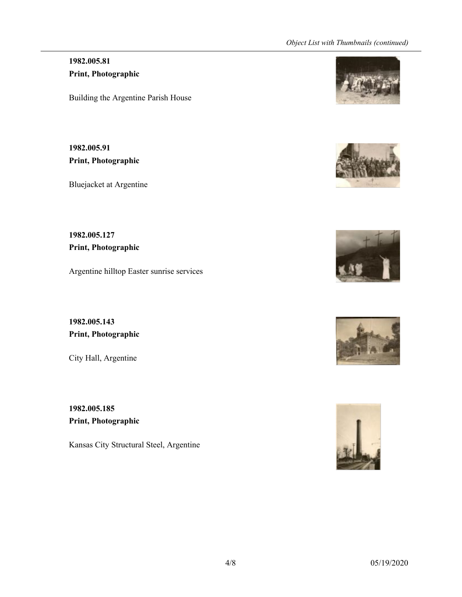### **1982.005.81 Print, Photographic**

Building the Argentine Parish House

**1982.005.91 Print, Photographic**

Bluejacket at Argentine

**1982.005.127 Print, Photographic**

Argentine hilltop Easter sunrise services

**1982.005.143 Print, Photographic**

City Hall, Argentine

**1982.005.185 Print, Photographic**

Kansas City Structural Steel, Argentine









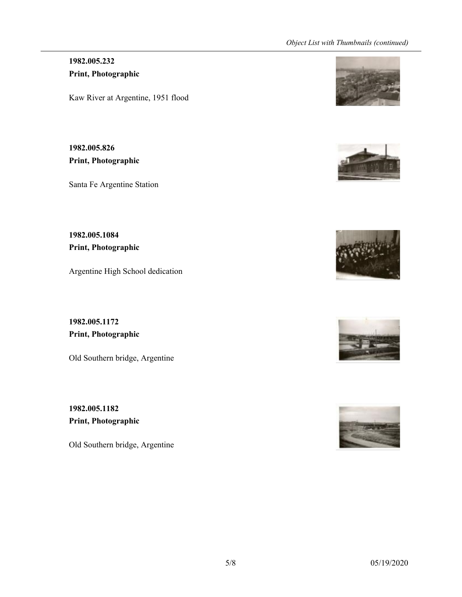#### *Object List with Thumbnails (continued)*

#### **1982.005.232 Print, Photographic**

Kaw River at Argentine, 1951 flood

**1982.005.826 Print, Photographic**

Santa Fe Argentine Station

**1982.005.1084 Print, Photographic**

Argentine High School dedication

**1982.005.1172 Print, Photographic**

Old Southern bridge, Argentine

**1982.005.1182 Print, Photographic**

Old Southern bridge, Argentine









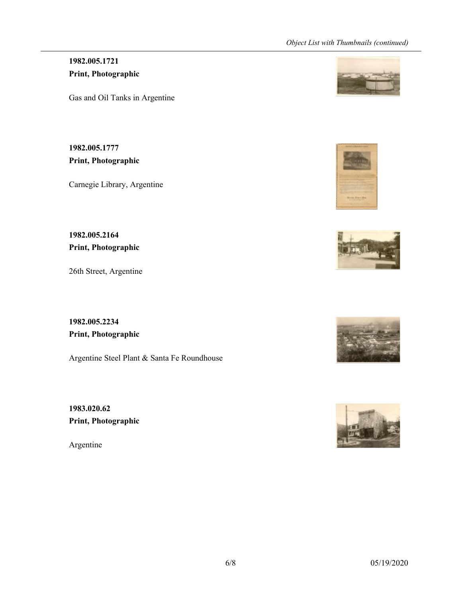## **1982.005.1721 Print, Photographic**

Gas and Oil Tanks in Argentine

**1982.005.1777 Print, Photographic**

Carnegie Library, Argentine

**1982.005.2164 Print, Photographic**

26th Street, Argentine

**1982.005.2234 Print, Photographic**

Argentine Steel Plant & Santa Fe Roundhouse

**1983.020.62 Print, Photographic**

Argentine









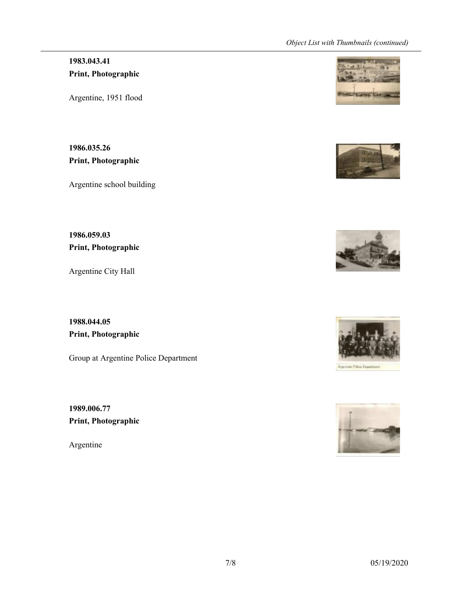#### *Object List with Thumbnails (continued)*

## **1983.043.41 Print, Photographic**

Argentine, 1951 flood

**1986.035.26 Print, Photographic**

Argentine school building

**1986.059.03 Print, Photographic**

Argentine City Hall

**1988.044.05 Print, Photographic**

Group at Argentine Police Department

**1989.006.77 Print, Photographic**

Argentine